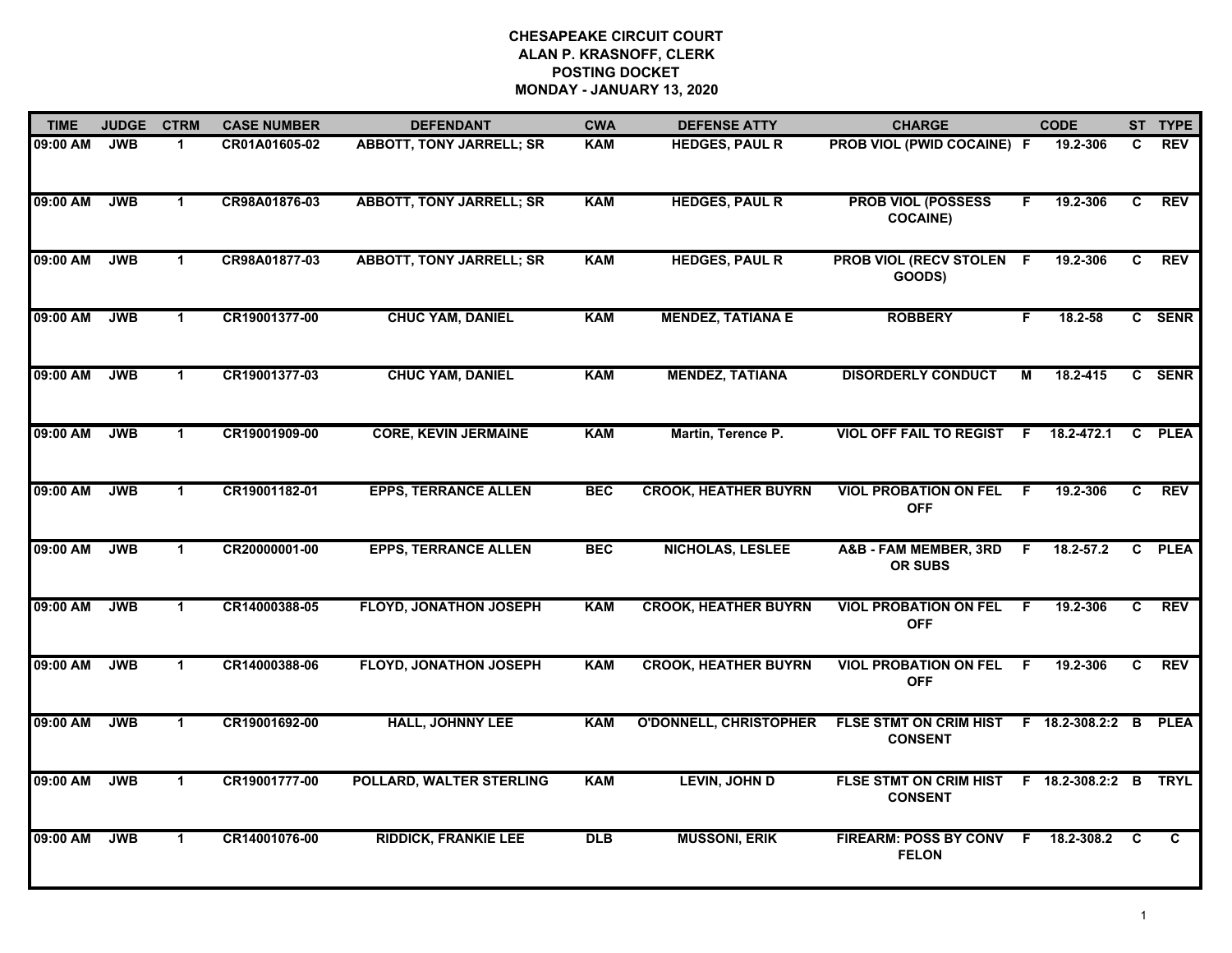| <b>TIME</b> | <b>JUDGE</b> | <b>CTRM</b>          | <b>CASE NUMBER</b> | <b>DEFENDANT</b>                | <b>CWA</b> | <b>DEFENSE ATTY</b>           | <b>CHARGE</b>                                                  |     | <b>CODE</b>   |    | ST TYPE    |
|-------------|--------------|----------------------|--------------------|---------------------------------|------------|-------------------------------|----------------------------------------------------------------|-----|---------------|----|------------|
| 09:00 AM    | <b>JWB</b>   | 1                    | CR01A01605-02      | <b>ABBOTT, TONY JARRELL; SR</b> | <b>KAM</b> | <b>HEDGES, PAUL R</b>         | PROB VIOL (PWID COCAINE) F                                     |     | 19.2-306      | C. | <b>REV</b> |
| 09:00 AM    | <b>JWB</b>   | $\mathbf{1}$         | CR98A01876-03      | <b>ABBOTT, TONY JARRELL; SR</b> | <b>KAM</b> | <b>HEDGES, PAUL R</b>         | <b>PROB VIOL (POSSESS</b><br><b>COCAINE)</b>                   | F.  | 19.2-306      | C  | <b>REV</b> |
| 09:00 AM    | <b>JWB</b>   | $\mathbf{1}$         | CR98A01877-03      | <b>ABBOTT, TONY JARRELL; SR</b> | <b>KAM</b> | <b>HEDGES, PAUL R</b>         | <b>PROB VIOL (RECV STOLEN F</b><br>GOODS)                      |     | 19.2-306      | C  | <b>REV</b> |
| 09:00 AM    | <b>JWB</b>   | $\blacktriangleleft$ | CR19001377-00      | <b>CHUC YAM, DANIEL</b>         | <b>KAM</b> | <b>MENDEZ, TATIANA E</b>      | <b>ROBBERY</b>                                                 | F   | $18.2 - 58$   |    | C SENR     |
| 09:00 AM    | <b>JWB</b>   | $\mathbf{1}$         | CR19001377-03      | <b>CHUC YAM, DANIEL</b>         | <b>KAM</b> | <b>MENDEZ, TATIANA</b>        | <b>DISORDERLY CONDUCT</b>                                      | М   | 18.2-415      |    | C SENR     |
| 09:00 AM    | <b>JWB</b>   | $\mathbf{1}$         | CR19001909-00      | <b>CORE, KEVIN JERMAINE</b>     | <b>KAM</b> | Martin, Terence P.            | VIOL OFF FAIL TO REGIST F 18.2-472.1                           |     |               |    | C PLEA     |
| 09:00 AM    | <b>JWB</b>   | $\mathbf{1}$         | CR19001182-01      | <b>EPPS, TERRANCE ALLEN</b>     | <b>BEC</b> | <b>CROOK, HEATHER BUYRN</b>   | <b>VIOL PROBATION ON FEL</b><br><b>OFF</b>                     | - F | 19.2-306      | C  | <b>REV</b> |
| 09:00 AM    | <b>JWB</b>   | $\mathbf{1}$         | CR20000001-00      | <b>EPPS, TERRANCE ALLEN</b>     | <b>BEC</b> | NICHOLAS, LESLEE              | <b>A&amp;B - FAM MEMBER, 3RD</b><br><b>OR SUBS</b>             | -F  | $18.2 - 57.2$ |    | C PLEA     |
| 09:00 AM    | <b>JWB</b>   | $\mathbf 1$          | CR14000388-05      | <b>FLOYD, JONATHON JOSEPH</b>   | <b>KAM</b> | <b>CROOK, HEATHER BUYRN</b>   | <b>VIOL PROBATION ON FEL</b><br><b>OFF</b>                     | -F  | 19.2-306      | C. | <b>REV</b> |
| 09:00 AM    | <b>JWB</b>   | $\blacktriangleleft$ | CR14000388-06      | <b>FLOYD, JONATHON JOSEPH</b>   | <b>KAM</b> | <b>CROOK, HEATHER BUYRN</b>   | <b>VIOL PROBATION ON FEL</b><br><b>OFF</b>                     | E   | 19.2-306      | C  | <b>REV</b> |
| 09:00 AM    | <b>JWB</b>   | $\mathbf{1}$         | CR19001692-00      | <b>HALL, JOHNNY LEE</b>         | <b>KAM</b> | <b>O'DONNELL, CHRISTOPHER</b> | FLSE STMT ON CRIM HIST F 18.2-308.2:2 B PLEA<br><b>CONSENT</b> |     |               |    |            |
| 09:00 AM    | <b>JWB</b>   | $\mathbf{1}$         | CR19001777-00      | POLLARD, WALTER STERLING        | <b>KAM</b> | <b>LEVIN, JOHN D</b>          | FLSE STMT ON CRIM HIST F 18.2-308.2:2 B TRYL<br><b>CONSENT</b> |     |               |    |            |
| 09:00 AM    | <b>JWB</b>   | $\mathbf{1}$         | CR14001076-00      | <b>RIDDICK, FRANKIE LEE</b>     | <b>DLB</b> | <b>MUSSONI, ERIK</b>          | FIREARM: POSS BY CONV F<br><b>FELON</b>                        |     | 18.2-308.2 C  |    | C          |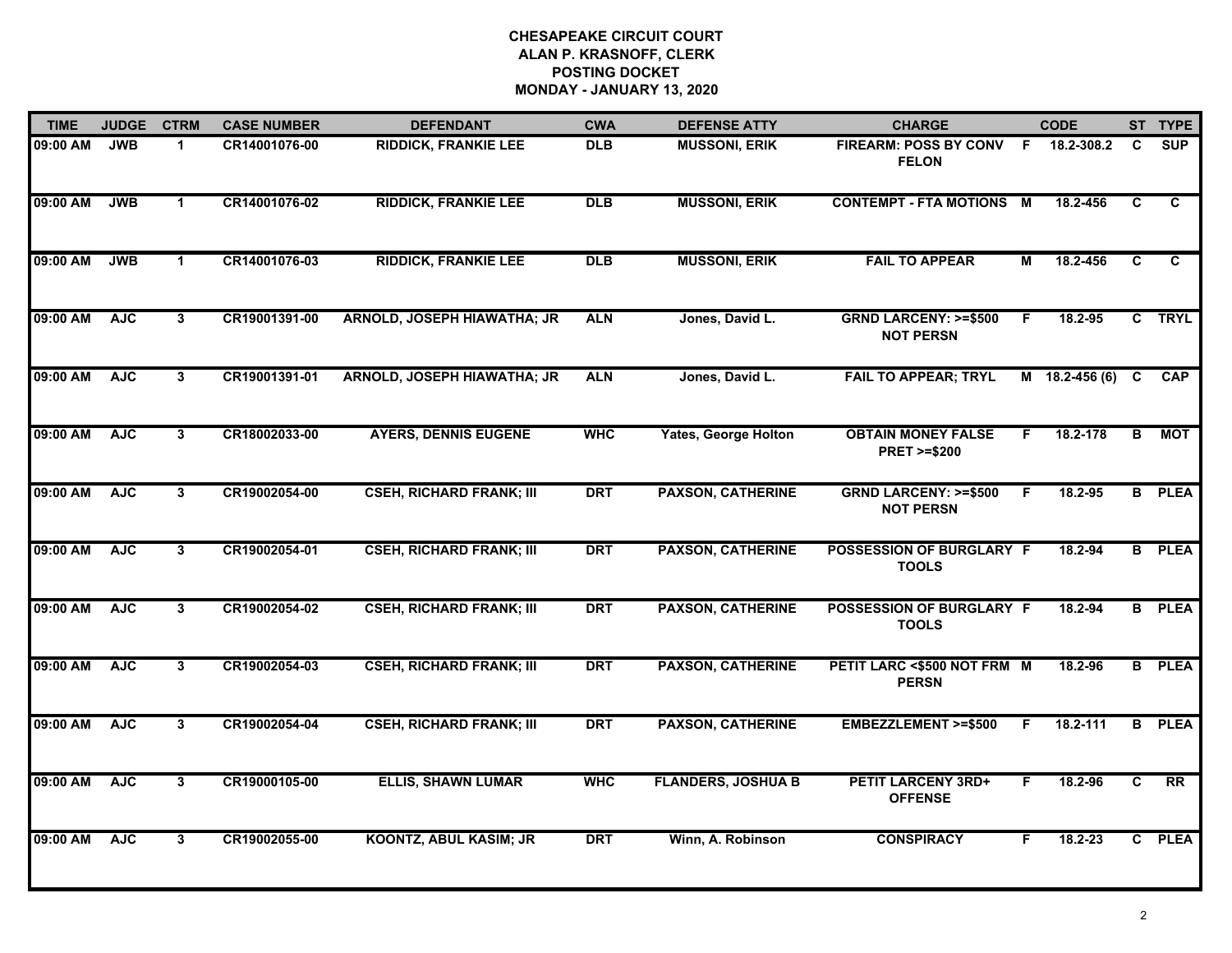| <b>TIME</b> | <b>JUDGE</b> | <b>CTRM</b>          | <b>CASE NUMBER</b> | <b>DEFENDANT</b>                   | <b>CWA</b> | <b>DEFENSE ATTY</b>         | <b>CHARGE</b>                                       |                         | <b>CODE</b>      |                         | ST TYPE         |
|-------------|--------------|----------------------|--------------------|------------------------------------|------------|-----------------------------|-----------------------------------------------------|-------------------------|------------------|-------------------------|-----------------|
| 09:00 AM    | <b>JWB</b>   | $\blacktriangleleft$ | CR14001076-00      | <b>RIDDICK, FRANKIE LEE</b>        | <b>DLB</b> | <b>MUSSONI, ERIK</b>        | FIREARM: POSS BY CONV F<br><b>FELON</b>             |                         | 18.2-308.2       | C                       | <b>SUP</b>      |
| 09:00 AM    | <b>JWB</b>   | $\mathbf{1}$         | CR14001076-02      | <b>RIDDICK, FRANKIE LEE</b>        | <b>DLB</b> | <b>MUSSONI, ERIK</b>        | <b>CONTEMPT - FTA MOTIONS M</b>                     |                         | 18.2-456         | C                       | C.              |
| 09:00 AM    | <b>JWB</b>   | $\mathbf{1}$         | CR14001076-03      | <b>RIDDICK, FRANKIE LEE</b>        | <b>DLB</b> | <b>MUSSONI, ERIK</b>        | <b>FAIL TO APPEAR</b>                               | $\overline{\mathsf{M}}$ | 18.2-456         | $\overline{\mathbf{c}}$ | $\overline{c}$  |
| 09:00 AM    | <b>AJC</b>   | 3 <sup>1</sup>       | CR19001391-00      | <b>ARNOLD, JOSEPH HIAWATHA; JR</b> | <b>ALN</b> | Jones, David L.             | <b>GRND LARCENY: &gt;=\$500</b><br><b>NOT PERSN</b> | F                       | 18.2-95          |                         | C TRYL          |
| 09:00 AM    | <b>AJC</b>   | 3                    | CR19001391-01      | <b>ARNOLD, JOSEPH HIAWATHA; JR</b> | <b>ALN</b> | Jones, David L.             | <b>FAIL TO APPEAR; TRYL</b>                         |                         | $M$ 18.2-456 (6) | C                       | <b>CAP</b>      |
| 09:00 AM    | <b>AJC</b>   | 3                    | CR18002033-00      | <b>AYERS, DENNIS EUGENE</b>        | <b>WHC</b> | <b>Yates, George Holton</b> | <b>OBTAIN MONEY FALSE</b><br><b>PRET &gt;=\$200</b> | F.                      | 18.2-178         | B                       | <b>MOT</b>      |
| 09:00 AM    | <b>AJC</b>   | $\overline{3}$       | CR19002054-00      | <b>CSEH, RICHARD FRANK; III</b>    | <b>DRT</b> | <b>PAXSON, CATHERINE</b>    | <b>GRND LARCENY: &gt;=\$500</b><br><b>NOT PERSN</b> | -F                      | 18.2-95          |                         | <b>B</b> PLEA   |
| 09:00 AM    | <b>AJC</b>   | $\mathbf{3}$         | CR19002054-01      | <b>CSEH, RICHARD FRANK; III</b>    | <b>DRT</b> | <b>PAXSON, CATHERINE</b>    | POSSESSION OF BURGLARY F<br><b>TOOLS</b>            |                         | 18.2-94          |                         | <b>B</b> PLEA   |
| 09:00 AM    | <b>AJC</b>   | 3                    | CR19002054-02      | <b>CSEH, RICHARD FRANK; III</b>    | <b>DRT</b> | <b>PAXSON, CATHERINE</b>    | POSSESSION OF BURGLARY F<br><b>TOOLS</b>            |                         | 18.2-94          |                         | <b>B</b> PLEA   |
| 09:00 AM    | <b>AJC</b>   | 3                    | CR19002054-03      | <b>CSEH, RICHARD FRANK; III</b>    | <b>DRT</b> | <b>PAXSON, CATHERINE</b>    | PETIT LARC <\$500 NOT FRM M<br><b>PERSN</b>         |                         | 18.2-96          |                         | <b>B</b> PLEA   |
| 09:00 AM    | <b>AJC</b>   | 3                    | CR19002054-04      | <b>CSEH, RICHARD FRANK; III</b>    | <b>DRT</b> | <b>PAXSON, CATHERINE</b>    | EMBEZZLEMENT >=\$500                                | F.                      | 18.2-111         |                         | <b>B</b> PLEA   |
| 09:00 AM    | <b>AJC</b>   | $\overline{3}$       | CR19000105-00      | <b>ELLIS, SHAWN LUMAR</b>          | <b>WHC</b> | <b>FLANDERS, JOSHUA B</b>   | <b>PETIT LARCENY 3RD+</b><br><b>OFFENSE</b>         | F.                      | 18.2-96          | C                       | $\overline{RR}$ |
| 09:00 AM    | <b>AJC</b>   | $\overline{3}$       | CR19002055-00      | <b>KOONTZ, ABUL KASIM; JR</b>      | <b>DRT</b> | Winn, A. Robinson           | <b>CONSPIRACY</b>                                   | F                       | $18.2 - 23$      |                         | C PLEA          |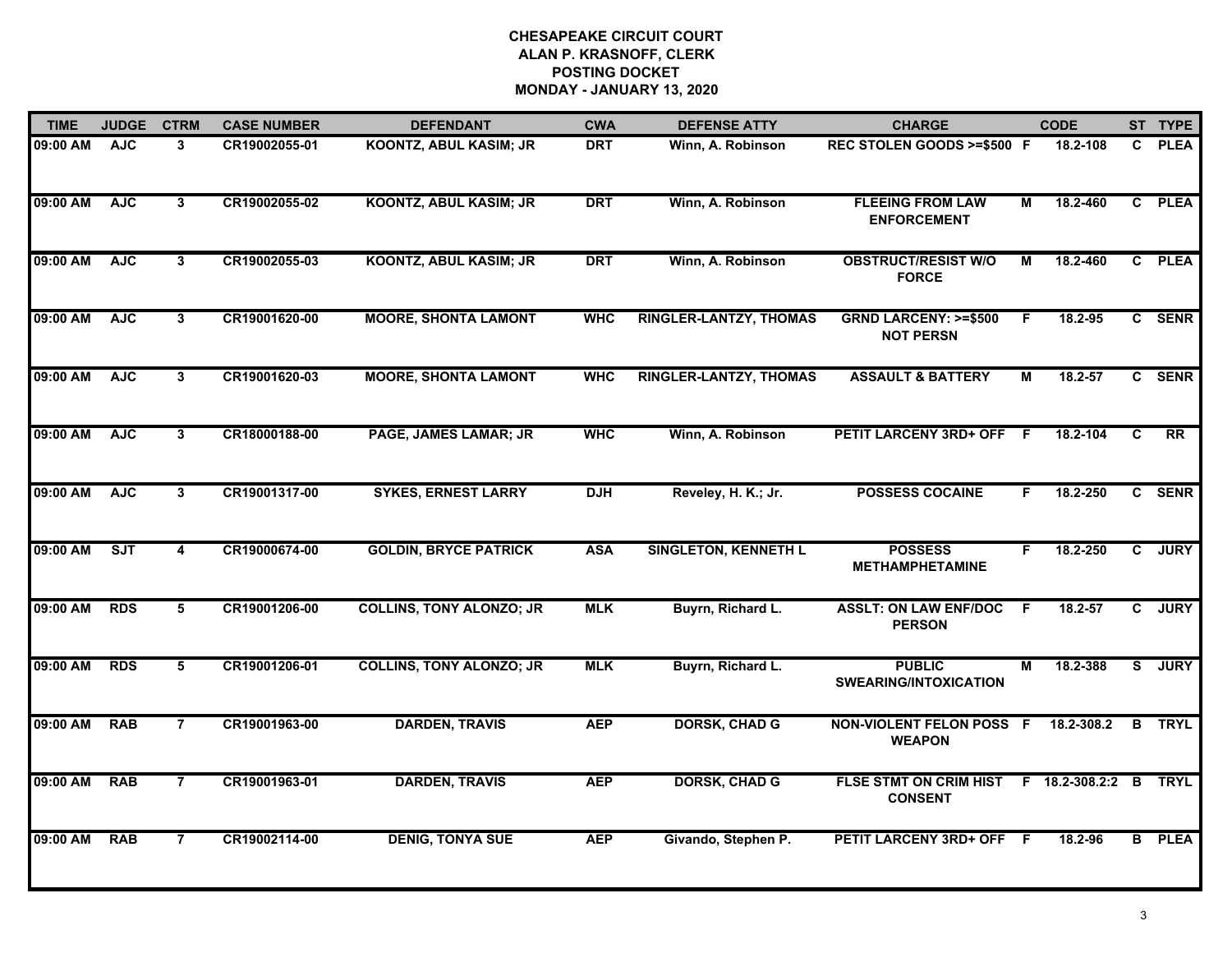| <b>TIME</b> | <b>JUDGE</b> | <b>CTRM</b>             | <b>CASE NUMBER</b> | <b>DEFENDANT</b>                | <b>CWA</b> | <b>DEFENSE ATTY</b>           | <b>CHARGE</b>                                       |                | <b>CODE</b>    |                | ST TYPE       |
|-------------|--------------|-------------------------|--------------------|---------------------------------|------------|-------------------------------|-----------------------------------------------------|----------------|----------------|----------------|---------------|
| 09:00 AM    | <b>AJC</b>   | $\mathbf{3}$            | CR19002055-01      | KOONTZ, ABUL KASIM; JR          | <b>DRT</b> | Winn, A. Robinson             | REC STOLEN GOODS >=\$500 F                          |                | 18.2-108       | C.             | <b>PLEA</b>   |
| 09:00 AM    | <b>AJC</b>   | $\overline{3}$          | CR19002055-02      | <b>KOONTZ, ABUL KASIM; JR</b>   | <b>DRT</b> | Winn, A. Robinson             | <b>FLEEING FROM LAW</b><br><b>ENFORCEMENT</b>       | М              | 18.2-460       |                | C PLEA        |
| 09:00 AM    | <b>AJC</b>   | $\overline{3}$          | CR19002055-03      | <b>KOONTZ, ABUL KASIM; JR</b>   | <b>DRT</b> | Winn, A. Robinson             | <b>OBSTRUCT/RESIST W/O</b><br><b>FORCE</b>          | $\overline{M}$ | 18.2-460       |                | C PLEA        |
| 09:00 AM    | <b>AJC</b>   | $\mathbf{3}$            | CR19001620-00      | <b>MOORE, SHONTA LAMONT</b>     | <b>WHC</b> | <b>RINGLER-LANTZY, THOMAS</b> | <b>GRND LARCENY: &gt;=\$500</b><br><b>NOT PERSN</b> | F.             | 18.2-95        |                | C SENR        |
| 09:00 AM    | <b>AJC</b>   | 3                       | CR19001620-03      | <b>MOORE, SHONTA LAMONT</b>     | <b>WHC</b> | <b>RINGLER-LANTZY, THOMAS</b> | <b>ASSAULT &amp; BATTERY</b>                        | M              | 18.2-57        |                | C SENR        |
| 09:00 AM    | <b>AJC</b>   | $\mathbf{3}$            | CR18000188-00      | <b>PAGE, JAMES LAMAR; JR</b>    | <b>WHC</b> | Winn, A. Robinson             | PETIT LARCENY 3RD+ OFF F                            |                | 18.2-104       | C              | RR            |
| 09:00 AM    | <b>AJC</b>   | 3                       | CR19001317-00      | <b>SYKES, ERNEST LARRY</b>      | <b>DJH</b> | Reveley, H. K.; Jr.           | <b>POSSESS COCAINE</b>                              | F.             | 18.2-250       | C.             | <b>SENR</b>   |
| 09:00 AM    | ST           | $\overline{\mathbf{4}}$ | CR19000674-00      | <b>GOLDIN, BRYCE PATRICK</b>    | <b>ASA</b> | <b>SINGLETON, KENNETH L</b>   | <b>POSSESS</b><br><b>METHAMPHETAMINE</b>            | F              | 18.2-250       | $\overline{c}$ | <b>JURY</b>   |
| 09:00 AM    | <b>RDS</b>   | 5                       | CR19001206-00      | <b>COLLINS, TONY ALONZO; JR</b> | <b>MLK</b> | Buyrn, Richard L.             | <b>ASSLT: ON LAW ENF/DOC</b><br><b>PERSON</b>       | F              | $18.2 - 57$    | $\mathbf{c}$   | <b>JURY</b>   |
| 09:00 AM    | <b>RDS</b>   | 5                       | CR19001206-01      | <b>COLLINS, TONY ALONZO; JR</b> | <b>MLK</b> | Buyrn, Richard L.             | <b>PUBLIC</b><br><b>SWEARING/INTOXICATION</b>       | M              | 18.2-388       | S.             | <b>JURY</b>   |
| 09:00 AM    | <b>RAB</b>   | $\overline{7}$          | CR19001963-00      | <b>DARDEN, TRAVIS</b>           | <b>AEP</b> | <b>DORSK, CHAD G</b>          | <b>NON-VIOLENT FELON POSS F</b><br><b>WEAPON</b>    |                | 18.2-308.2     | B              | <b>TRYL</b>   |
| 09:00 AM    | <b>RAB</b>   | $\overline{7}$          | CR19001963-01      | <b>DARDEN, TRAVIS</b>           | <b>AEP</b> | <b>DORSK, CHAD G</b>          | <b>FLSE STMT ON CRIM HIST</b><br><b>CONSENT</b>     |                | F 18.2-308.2:2 | B              | <b>TRYL</b>   |
| 09:00 AM    | <b>RAB</b>   | $\overline{7}$          | CR19002114-00      | <b>DENIG, TONYA SUE</b>         | <b>AEP</b> | Givando, Stephen P.           | PETIT LARCENY 3RD+ OFF F                            |                | 18.2-96        |                | <b>B</b> PLEA |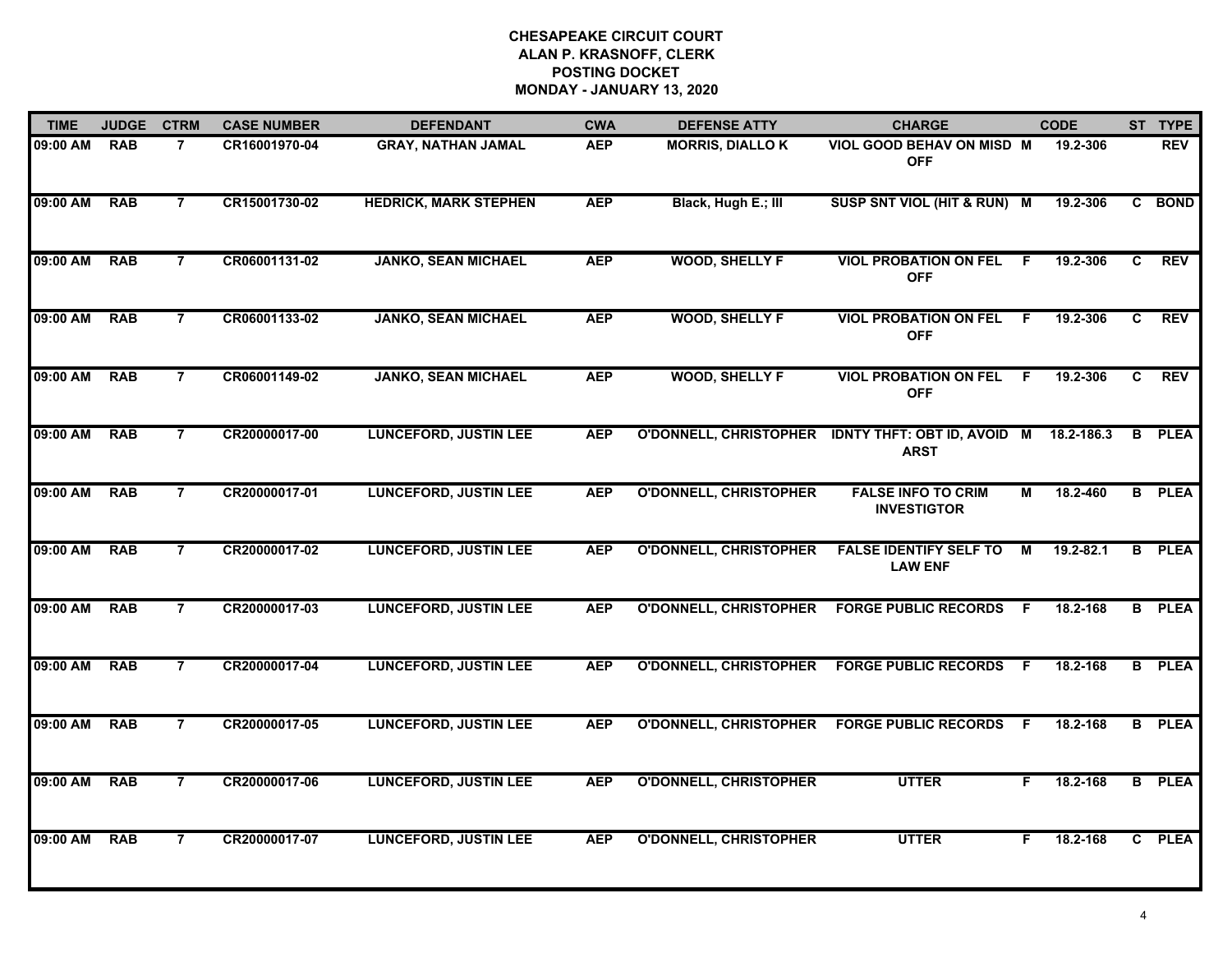| <b>TIME</b> | <b>JUDGE</b> | <b>CTRM</b>    | <b>CASE NUMBER</b> | <b>DEFENDANT</b>             | <b>CWA</b> | <b>DEFENSE ATTY</b>           | <b>CHARGE</b>                                     |     | <b>CODE</b> |   | ST TYPE       |
|-------------|--------------|----------------|--------------------|------------------------------|------------|-------------------------------|---------------------------------------------------|-----|-------------|---|---------------|
| 09:00 AM    | <b>RAB</b>   | 7              | CR16001970-04      | <b>GRAY, NATHAN JAMAL</b>    | <b>AEP</b> | <b>MORRIS, DIALLOK</b>        | VIOL GOOD BEHAV ON MISD M<br><b>OFF</b>           |     | 19.2-306    |   | <b>REV</b>    |
| 09:00 AM    | <b>RAB</b>   | $\overline{7}$ | CR15001730-02      | <b>HEDRICK, MARK STEPHEN</b> | <b>AEP</b> | Black, Hugh E.; III           | SUSP SNT VIOL (HIT & RUN) M                       |     | 19.2-306    |   | C BOND        |
| 09:00 AM    | <b>RAB</b>   | $\overline{7}$ | CR06001131-02      | <b>JANKO, SEAN MICHAEL</b>   | <b>AEP</b> | <b>WOOD, SHELLY F</b>         | <b>VIOL PROBATION ON FEL</b><br><b>OFF</b>        | F   | 19.2-306    | C | <b>REV</b>    |
| 09:00 AM    | <b>RAB</b>   | $\overline{7}$ | CR06001133-02      | <b>JANKO, SEAN MICHAEL</b>   | <b>AEP</b> | <b>WOOD, SHELLY F</b>         | <b>VIOL PROBATION ON FEL</b><br><b>OFF</b>        | -F  | 19.2-306    | C | <b>REV</b>    |
| 09:00 AM    | <b>RAB</b>   | $\overline{7}$ | CR06001149-02      | <b>JANKO, SEAN MICHAEL</b>   | <b>AEP</b> | <b>WOOD, SHELLY F</b>         | <b>VIOL PROBATION ON FEL</b><br><b>OFF</b>        | -F  | 19.2-306    | C | <b>REV</b>    |
| 09:00 AM    | <b>RAB</b>   | $\overline{7}$ | CR20000017-00      | <b>LUNCEFORD, JUSTIN LEE</b> | <b>AEP</b> | <b>O'DONNELL, CHRISTOPHER</b> | <b>IDNTY THFT: OBT ID, AVOID M</b><br><b>ARST</b> |     | 18.2-186.3  |   | <b>B</b> PLEA |
| 09:00 AM    | <b>RAB</b>   | $\overline{7}$ | CR20000017-01      | <b>LUNCEFORD, JUSTIN LEE</b> | <b>AEP</b> | <b>O'DONNELL, CHRISTOPHER</b> | <b>FALSE INFO TO CRIM</b><br><b>INVESTIGTOR</b>   | М   | 18.2-460    |   | <b>B</b> PLEA |
| 09:00 AM    | <b>RAB</b>   | $\overline{7}$ | CR20000017-02      | <b>LUNCEFORD, JUSTIN LEE</b> | <b>AEP</b> | <b>O'DONNELL, CHRISTOPHER</b> | <b>FALSE IDENTIFY SELF TO</b><br><b>LAW ENF</b>   | М   | 19.2-82.1   |   | <b>B</b> PLEA |
| 09:00 AM    | <b>RAB</b>   | $\overline{7}$ | CR20000017-03      | <b>LUNCEFORD, JUSTIN LEE</b> | <b>AEP</b> | <b>O'DONNELL, CHRISTOPHER</b> | <b>FORGE PUBLIC RECORDS</b>                       | -F  | 18.2-168    |   | <b>B</b> PLEA |
| 09:00 AM    | <b>RAB</b>   | $\overline{7}$ | CR20000017-04      | <b>LUNCEFORD, JUSTIN LEE</b> | <b>AEP</b> | <b>O'DONNELL, CHRISTOPHER</b> | <b>FORGE PUBLIC RECORDS</b>                       | -F  | 18.2-168    |   | <b>B</b> PLEA |
| 09:00 AM    | <b>RAB</b>   | $\overline{7}$ | CR20000017-05      | <b>LUNCEFORD, JUSTIN LEE</b> | <b>AEP</b> | <b>O'DONNELL, CHRISTOPHER</b> | <b>FORGE PUBLIC RECORDS</b>                       | -F. | 18.2-168    |   | <b>B</b> PLEA |
| 09:00 AM    | <b>RAB</b>   | $\overline{7}$ | CR20000017-06      | <b>LUNCEFORD, JUSTIN LEE</b> | <b>AEP</b> | <b>O'DONNELL, CHRISTOPHER</b> | <b>UTTER</b>                                      | F   | 18.2-168    |   | <b>B</b> PLEA |
| 09:00 AM    | <b>RAB</b>   | $\overline{7}$ | CR20000017-07      | <b>LUNCEFORD, JUSTIN LEE</b> | <b>AEP</b> | <b>O'DONNELL, CHRISTOPHER</b> | <b>UTTER</b>                                      | F.  | 18.2-168    |   | C PLEA        |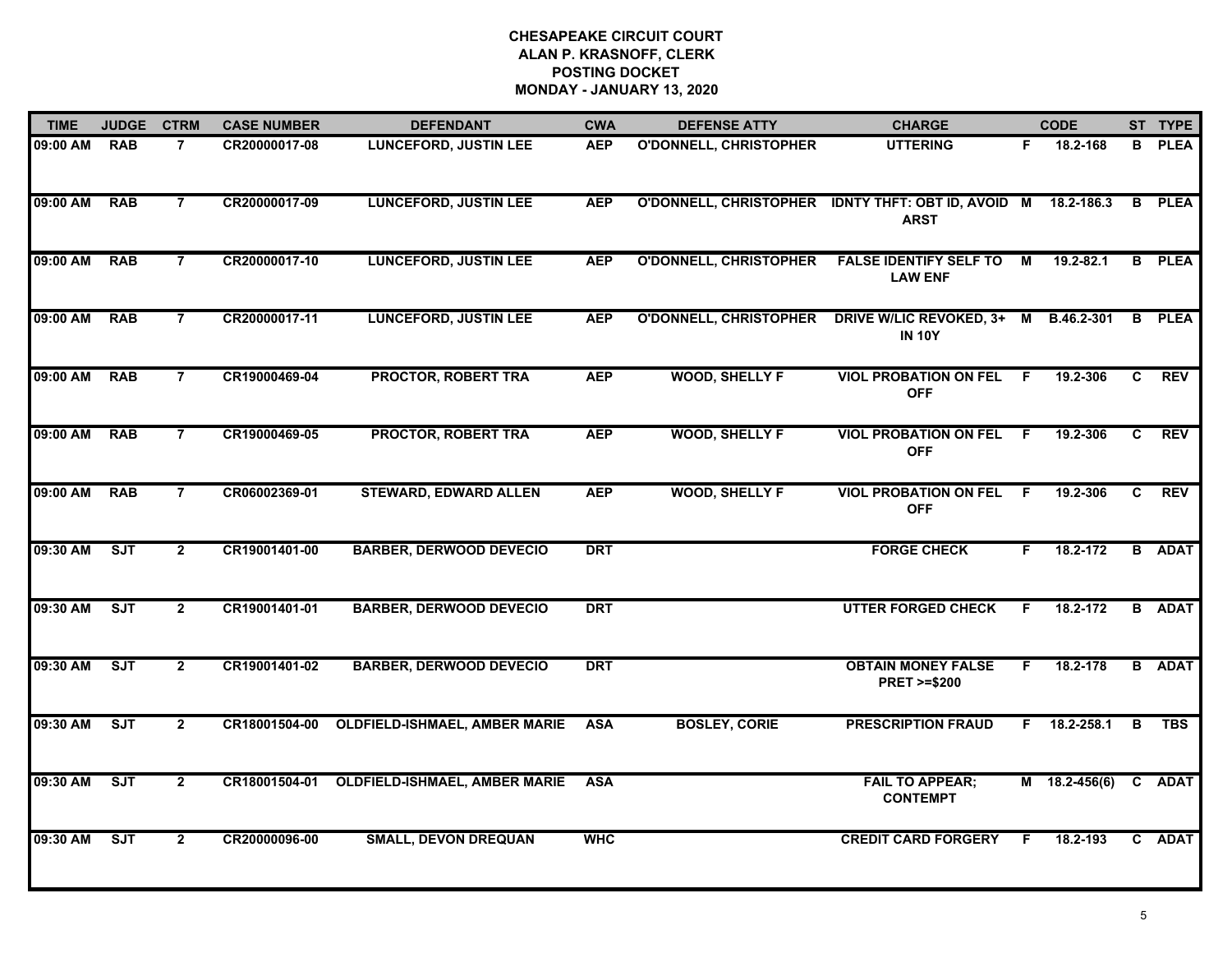| <b>TIME</b> | <b>JUDGE</b> | <b>CTRM</b>    | <b>CASE NUMBER</b> | <b>DEFENDANT</b>                     | <b>CWA</b> | <b>DEFENSE ATTY</b>           | <b>CHARGE</b>                                                                |                | <b>CODE</b>     |    | ST TYPE       |
|-------------|--------------|----------------|--------------------|--------------------------------------|------------|-------------------------------|------------------------------------------------------------------------------|----------------|-----------------|----|---------------|
| 09:00 AM    | <b>RAB</b>   | $\overline{7}$ | CR20000017-08      | <b>LUNCEFORD, JUSTIN LEE</b>         | <b>AEP</b> | <b>O'DONNELL, CHRISTOPHER</b> | <b>UTTERING</b>                                                              | F.             | 18.2-168        | B. | <b>PLEA</b>   |
| 09:00 AM    | <b>RAB</b>   | $\overline{7}$ | CR20000017-09      | <b>LUNCEFORD, JUSTIN LEE</b>         | <b>AEP</b> |                               | O'DONNELL, CHRISTOPHER IDNTY THFT: OBT ID, AVOID M 18.2-186.3<br><b>ARST</b> |                |                 |    | <b>B</b> PLEA |
| 09:00 AM    | <b>RAB</b>   | $\overline{7}$ | CR20000017-10      | <b>LUNCEFORD, JUSTIN LEE</b>         | <b>AEP</b> | <b>O'DONNELL, CHRISTOPHER</b> | <b>FALSE IDENTIFY SELF TO</b><br><b>LAW ENF</b>                              | М              | 19.2-82.1       |    | <b>B</b> PLEA |
| 09:00 AM    | <b>RAB</b>   | $\overline{7}$ | CR20000017-11      | <b>LUNCEFORD, JUSTIN LEE</b>         | <b>AEP</b> | <b>O'DONNELL, CHRISTOPHER</b> | DRIVE W/LIC REVOKED, 3+ M B.46.2-301<br><b>IN 10Y</b>                        |                |                 | B. | <b>PLEA</b>   |
| 09:00 AM    | <b>RAB</b>   | $\overline{7}$ | CR19000469-04      | <b>PROCTOR, ROBERT TRA</b>           | <b>AEP</b> | <b>WOOD, SHELLY F</b>         | <b>VIOL PROBATION ON FEL</b><br><b>OFF</b>                                   | F.             | 19.2-306        | C. | <b>REV</b>    |
| 09:00 AM    | <b>RAB</b>   | $\overline{7}$ | CR19000469-05      | PROCTOR, ROBERT TRA                  | <b>AEP</b> | <b>WOOD, SHELLY F</b>         | <b>VIOL PROBATION ON FEL F</b><br><b>OFF</b>                                 |                | 19.2-306        | C. | <b>REV</b>    |
| 09:00 AM    | RAB          | $\overline{7}$ | CR06002369-01      | <b>STEWARD, EDWARD ALLEN</b>         | <b>AEP</b> | <b>WOOD, SHELLY F</b>         | <b>VIOL PROBATION ON FEL</b><br><b>OFF</b>                                   | $\overline{F}$ | 19.2-306        | C  | <b>REV</b>    |
| 09:30 AM    | SJT          | $\overline{2}$ | CR19001401-00      | <b>BARBER, DERWOOD DEVECIO</b>       | <b>DRT</b> |                               | <b>FORGE CHECK</b>                                                           | F.             | 18.2-172        |    | <b>B</b> ADAT |
| 09:30 AM    | <b>SJT</b>   | $\mathbf{2}$   | CR19001401-01      | <b>BARBER, DERWOOD DEVECIO</b>       | <b>DRT</b> |                               | <b>UTTER FORGED CHECK</b>                                                    | F              | 18.2-172        |    | <b>B</b> ADAT |
| 09:30 AM    | SJT          | $\overline{2}$ | CR19001401-02      | <b>BARBER, DERWOOD DEVECIO</b>       | <b>DRT</b> |                               | <b>OBTAIN MONEY FALSE</b><br><b>PRET &gt;=\$200</b>                          | F.             | 18.2-178        |    | <b>B</b> ADAT |
| 09:30 AM    | ST           | $\overline{2}$ | CR18001504-00      | <b>OLDFIELD-ISHMAEL, AMBER MARIE</b> | <b>ASA</b> | <b>BOSLEY, CORIE</b>          | <b>PRESCRIPTION FRAUD</b>                                                    | F.             | 18.2-258.1      | B  | <b>TBS</b>    |
| 09:30 AM    | ST           | $\overline{2}$ | CR18001504-01      | <b>OLDFIELD-ISHMAEL, AMBER MARIE</b> | <b>ASA</b> |                               | <b>FAIL TO APPEAR;</b><br><b>CONTEMPT</b>                                    |                | $M$ 18.2-456(6) |    | C ADAT        |
| 09:30 AM    | SJT          | $\mathbf{2}$   | CR20000096-00      | <b>SMALL, DEVON DREQUAN</b>          | <b>WHC</b> |                               | <b>CREDIT CARD FORGERY</b>                                                   | F.             | 18.2-193        |    | C ADAT        |